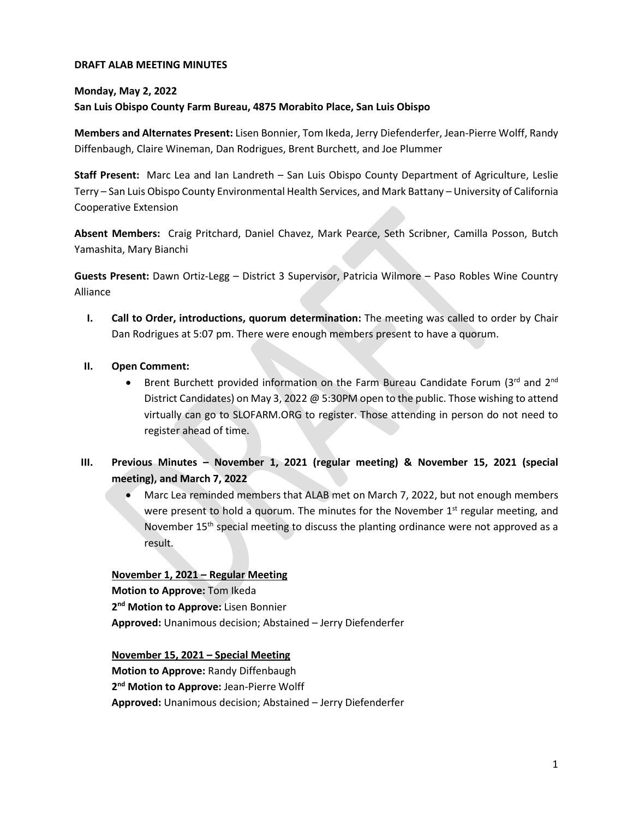### **DRAFT ALAB MEETING MINUTES**

#### **Monday, May 2, 2022**

#### **San Luis Obispo County Farm Bureau, 4875 Morabito Place, San Luis Obispo**

**Members and Alternates Present:** Lisen Bonnier, Tom Ikeda, Jerry Diefenderfer, Jean-Pierre Wolff, Randy Diffenbaugh, Claire Wineman, Dan Rodrigues, Brent Burchett, and Joe Plummer

**Staff Present:** Marc Lea and Ian Landreth – San Luis Obispo County Department of Agriculture, Leslie Terry – San Luis Obispo County Environmental Health Services, and Mark Battany – University of California Cooperative Extension

**Absent Members:** Craig Pritchard, Daniel Chavez, Mark Pearce, Seth Scribner, Camilla Posson, Butch Yamashita, Mary Bianchi

**Guests Present:** Dawn Ortiz-Legg – District 3 Supervisor, Patricia Wilmore – Paso Robles Wine Country Alliance

**I. Call to Order, introductions, quorum determination:** The meeting was called to order by Chair Dan Rodrigues at 5:07 pm. There were enough members present to have a quorum.

### **II. Open Comment:**

- Brent Burchett provided information on the Farm Bureau Candidate Forum (3rd and 2nd District Candidates) on May 3, 2022 @ 5:30PM open to the public. Those wishing to attend virtually can go to SLOFARM.ORG to register. Those attending in person do not need to register ahead of time.
- **III. Previous Minutes – November 1, 2021 (regular meeting) & November 15, 2021 (special meeting), and March 7, 2022**
	- Marc Lea reminded members that ALAB met on March 7, 2022, but not enough members were present to hold a quorum. The minutes for the November  $1<sup>st</sup>$  regular meeting, and November 15<sup>th</sup> special meeting to discuss the planting ordinance were not approved as a result.

### **November 1, 2021 – Regular Meeting**

**Motion to Approve:** Tom Ikeda **2 nd Motion to Approve:** Lisen Bonnier **Approved:** Unanimous decision; Abstained – Jerry Diefenderfer

**November 15, 2021 – Special Meeting Motion to Approve:** Randy Diffenbaugh **2 nd Motion to Approve:** Jean-Pierre Wolff **Approved:** Unanimous decision; Abstained – Jerry Diefenderfer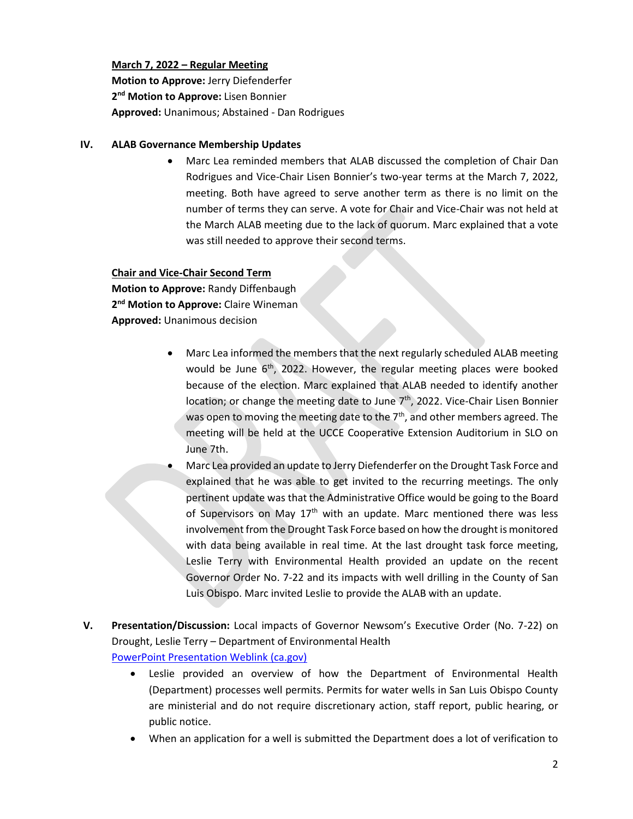## **March 7, 2022 – Regular Meeting**

**Motion to Approve:** Jerry Diefenderfer **2 nd Motion to Approve:** Lisen Bonnier **Approved:** Unanimous; Abstained - Dan Rodrigues

## **IV. ALAB Governance Membership Updates**

• Marc Lea reminded members that ALAB discussed the completion of Chair Dan Rodrigues and Vice-Chair Lisen Bonnier's two-year terms at the March 7, 2022, meeting. Both have agreed to serve another term as there is no limit on the number of terms they can serve. A vote for Chair and Vice-Chair was not held at the March ALAB meeting due to the lack of quorum. Marc explained that a vote was still needed to approve their second terms.

# **Chair and Vice-Chair Second Term**

**Motion to Approve:** Randy Diffenbaugh **2 nd Motion to Approve:** Claire Wineman **Approved:** Unanimous decision

- Marc Lea informed the members that the next regularly scheduled ALAB meeting would be June 6<sup>th</sup>, 2022. However, the regular meeting places were booked because of the election. Marc explained that ALAB needed to identify another location; or change the meeting date to June 7<sup>th</sup>, 2022. Vice-Chair Lisen Bonnier was open to moving the meeting date to the  $7<sup>th</sup>$ , and other members agreed. The meeting will be held at the UCCE Cooperative Extension Auditorium in SLO on June 7th.
- Marc Lea provided an update to Jerry Diefenderfer on the Drought Task Force and explained that he was able to get invited to the recurring meetings. The only pertinent update was that the Administrative Office would be going to the Board of Supervisors on May 17<sup>th</sup> with an update. Marc mentioned there was less involvement from the Drought Task Force based on how the drought is monitored with data being available in real time. At the last drought task force meeting, Leslie Terry with Environmental Health provided an update on the recent Governor Order No. 7-22 and its impacts with well drilling in the County of San Luis Obispo. Marc invited Leslie to provide the ALAB with an update.
- **V. Presentation/Discussion:** Local impacts of Governor Newsom's Executive Order (No. 7-22) on Drought, Leslie Terry – Department of Environmental Health [PowerPoint Presentation Weblink \(ca.gov\)](https://www.slocounty.ca.gov/Departments/Agriculture-Weights-and-Measures/All-Forms-Documents/Information/Meeting-Minutes/ALAB-Meeting-Agendas,-Minutes,-Presentations/2022/ALAB-Presentation-Drought-Executive-Order-2022_05_.pdf)
	- Leslie provided an overview of how the Department of Environmental Health (Department) processes well permits. Permits for water wells in San Luis Obispo County are ministerial and do not require discretionary action, staff report, public hearing, or public notice.
	- When an application for a well is submitted the Department does a lot of verification to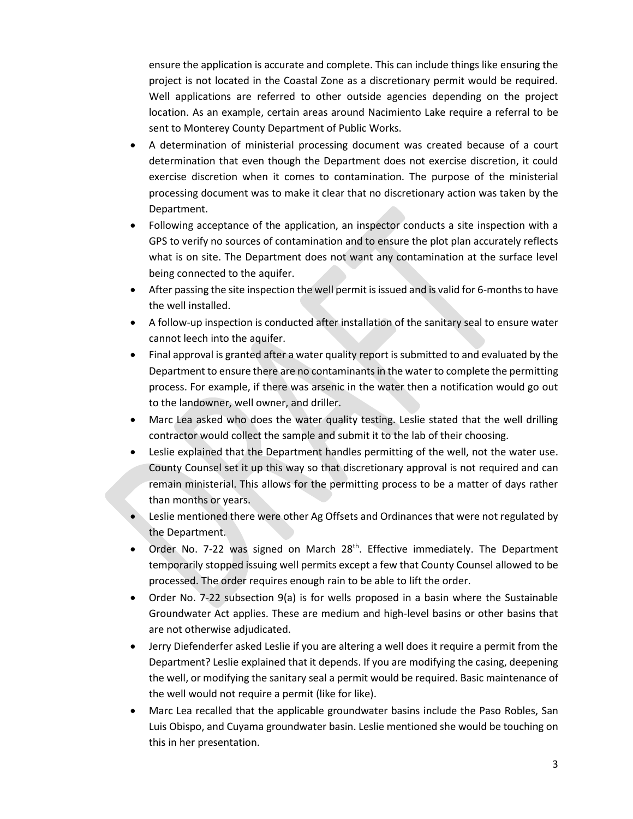ensure the application is accurate and complete. This can include things like ensuring the project is not located in the Coastal Zone as a discretionary permit would be required. Well applications are referred to other outside agencies depending on the project location. As an example, certain areas around Nacimiento Lake require a referral to be sent to Monterey County Department of Public Works.

- A determination of ministerial processing document was created because of a court determination that even though the Department does not exercise discretion, it could exercise discretion when it comes to contamination. The purpose of the ministerial processing document was to make it clear that no discretionary action was taken by the Department.
- Following acceptance of the application, an inspector conducts a site inspection with a GPS to verify no sources of contamination and to ensure the plot plan accurately reflects what is on site. The Department does not want any contamination at the surface level being connected to the aquifer.
- After passing the site inspection the well permit is issued and is valid for 6-months to have the well installed.
- A follow-up inspection is conducted after installation of the sanitary seal to ensure water cannot leech into the aquifer.
- Final approval is granted after a water quality report is submitted to and evaluated by the Department to ensure there are no contaminantsin the water to complete the permitting process. For example, if there was arsenic in the water then a notification would go out to the landowner, well owner, and driller.
- Marc Lea asked who does the water quality testing. Leslie stated that the well drilling contractor would collect the sample and submit it to the lab of their choosing.
- Leslie explained that the Department handles permitting of the well, not the water use. County Counsel set it up this way so that discretionary approval is not required and can remain ministerial. This allows for the permitting process to be a matter of days rather than months or years.
- Leslie mentioned there were other Ag Offsets and Ordinances that were not regulated by the Department.
- Order No. 7-22 was signed on March 28<sup>th</sup>. Effective immediately. The Department temporarily stopped issuing well permits except a few that County Counsel allowed to be processed. The order requires enough rain to be able to lift the order.
- Order No. 7-22 subsection 9(a) is for wells proposed in a basin where the Sustainable Groundwater Act applies. These are medium and high-level basins or other basins that are not otherwise adjudicated.
- Jerry Diefenderfer asked Leslie if you are altering a well does it require a permit from the Department? Leslie explained that it depends. If you are modifying the casing, deepening the well, or modifying the sanitary seal a permit would be required. Basic maintenance of the well would not require a permit (like for like).
- Marc Lea recalled that the applicable groundwater basins include the Paso Robles, San Luis Obispo, and Cuyama groundwater basin. Leslie mentioned she would be touching on this in her presentation.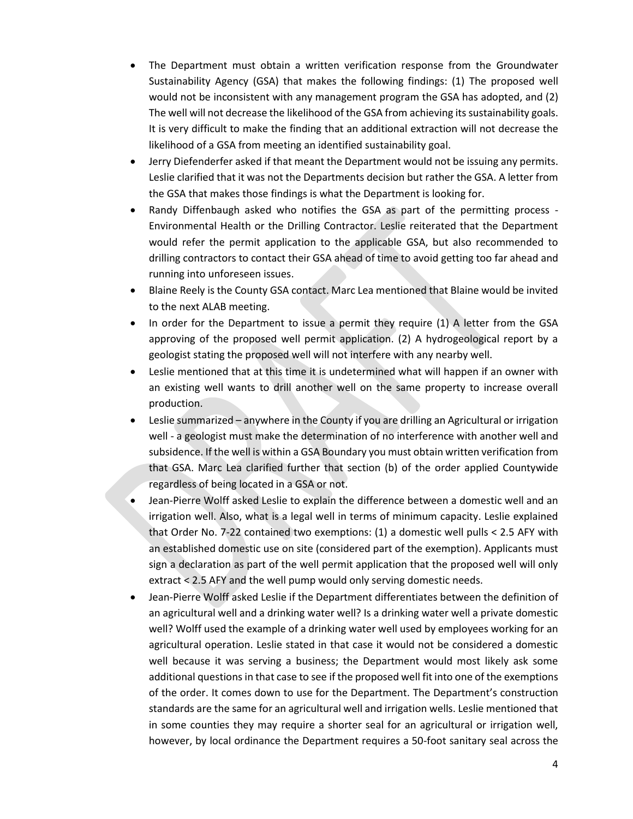- The Department must obtain a written verification response from the Groundwater Sustainability Agency (GSA) that makes the following findings: (1) The proposed well would not be inconsistent with any management program the GSA has adopted, and (2) The well will not decrease the likelihood of the GSA from achieving its sustainability goals. It is very difficult to make the finding that an additional extraction will not decrease the likelihood of a GSA from meeting an identified sustainability goal.
- Jerry Diefenderfer asked if that meant the Department would not be issuing any permits. Leslie clarified that it was not the Departments decision but rather the GSA. A letter from the GSA that makes those findings is what the Department is looking for.
- Randy Diffenbaugh asked who notifies the GSA as part of the permitting process Environmental Health or the Drilling Contractor. Leslie reiterated that the Department would refer the permit application to the applicable GSA, but also recommended to drilling contractors to contact their GSA ahead of time to avoid getting too far ahead and running into unforeseen issues.
- Blaine Reely is the County GSA contact. Marc Lea mentioned that Blaine would be invited to the next ALAB meeting.
- In order for the Department to issue a permit they require (1) A letter from the GSA approving of the proposed well permit application. (2) A hydrogeological report by a geologist stating the proposed well will not interfere with any nearby well.
- Leslie mentioned that at this time it is undetermined what will happen if an owner with an existing well wants to drill another well on the same property to increase overall production.
- Leslie summarized anywhere in the County if you are drilling an Agricultural or irrigation well - a geologist must make the determination of no interference with another well and subsidence. If the well is within a GSA Boundary you must obtain written verification from that GSA. Marc Lea clarified further that section (b) of the order applied Countywide regardless of being located in a GSA or not.
- Jean-Pierre Wolff asked Leslie to explain the difference between a domestic well and an irrigation well. Also, what is a legal well in terms of minimum capacity. Leslie explained that Order No. 7-22 contained two exemptions: (1) a domestic well pulls < 2.5 AFY with an established domestic use on site (considered part of the exemption). Applicants must sign a declaration as part of the well permit application that the proposed well will only extract < 2.5 AFY and the well pump would only serving domestic needs.
- Jean-Pierre Wolff asked Leslie if the Department differentiates between the definition of an agricultural well and a drinking water well? Is a drinking water well a private domestic well? Wolff used the example of a drinking water well used by employees working for an agricultural operation. Leslie stated in that case it would not be considered a domestic well because it was serving a business; the Department would most likely ask some additional questions in that case to see if the proposed well fit into one of the exemptions of the order. It comes down to use for the Department. The Department's construction standards are the same for an agricultural well and irrigation wells. Leslie mentioned that in some counties they may require a shorter seal for an agricultural or irrigation well, however, by local ordinance the Department requires a 50-foot sanitary seal across the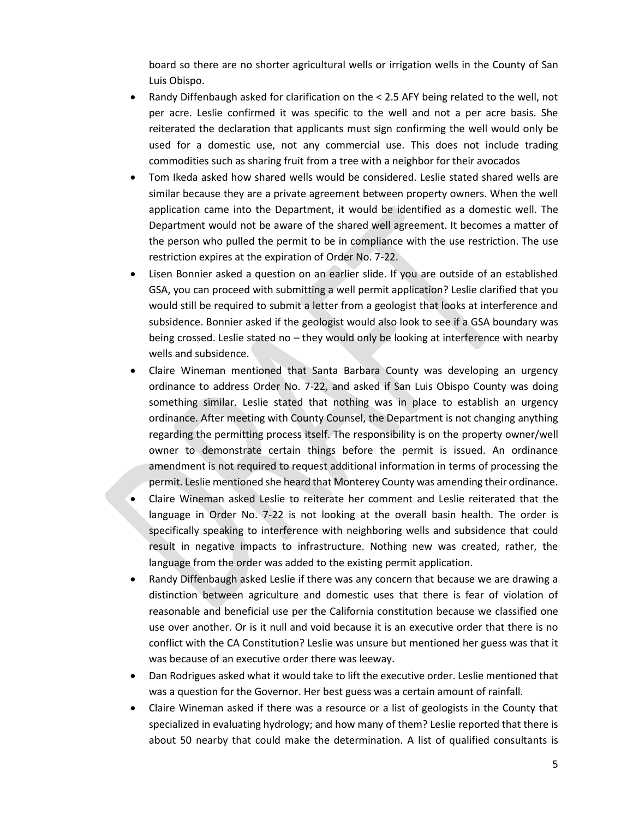board so there are no shorter agricultural wells or irrigation wells in the County of San Luis Obispo.

- Randy Diffenbaugh asked for clarification on the < 2.5 AFY being related to the well, not per acre. Leslie confirmed it was specific to the well and not a per acre basis. She reiterated the declaration that applicants must sign confirming the well would only be used for a domestic use, not any commercial use. This does not include trading commodities such as sharing fruit from a tree with a neighbor for their avocados
- Tom Ikeda asked how shared wells would be considered. Leslie stated shared wells are similar because they are a private agreement between property owners. When the well application came into the Department, it would be identified as a domestic well. The Department would not be aware of the shared well agreement. It becomes a matter of the person who pulled the permit to be in compliance with the use restriction. The use restriction expires at the expiration of Order No. 7-22.
- Lisen Bonnier asked a question on an earlier slide. If you are outside of an established GSA, you can proceed with submitting a well permit application? Leslie clarified that you would still be required to submit a letter from a geologist that looks at interference and subsidence. Bonnier asked if the geologist would also look to see if a GSA boundary was being crossed. Leslie stated no – they would only be looking at interference with nearby wells and subsidence.
- Claire Wineman mentioned that Santa Barbara County was developing an urgency ordinance to address Order No. 7-22, and asked if San Luis Obispo County was doing something similar. Leslie stated that nothing was in place to establish an urgency ordinance. After meeting with County Counsel, the Department is not changing anything regarding the permitting process itself. The responsibility is on the property owner/well owner to demonstrate certain things before the permit is issued. An ordinance amendment is not required to request additional information in terms of processing the permit. Leslie mentioned she heard that Monterey County was amending their ordinance.
- Claire Wineman asked Leslie to reiterate her comment and Leslie reiterated that the language in Order No. 7-22 is not looking at the overall basin health. The order is specifically speaking to interference with neighboring wells and subsidence that could result in negative impacts to infrastructure. Nothing new was created, rather, the language from the order was added to the existing permit application.
- Randy Diffenbaugh asked Leslie if there was any concern that because we are drawing a distinction between agriculture and domestic uses that there is fear of violation of reasonable and beneficial use per the California constitution because we classified one use over another. Or is it null and void because it is an executive order that there is no conflict with the CA Constitution? Leslie was unsure but mentioned her guess was that it was because of an executive order there was leeway.
- Dan Rodrigues asked what it would take to lift the executive order. Leslie mentioned that was a question for the Governor. Her best guess was a certain amount of rainfall.
- Claire Wineman asked if there was a resource or a list of geologists in the County that specialized in evaluating hydrology; and how many of them? Leslie reported that there is about 50 nearby that could make the determination. A list of qualified consultants is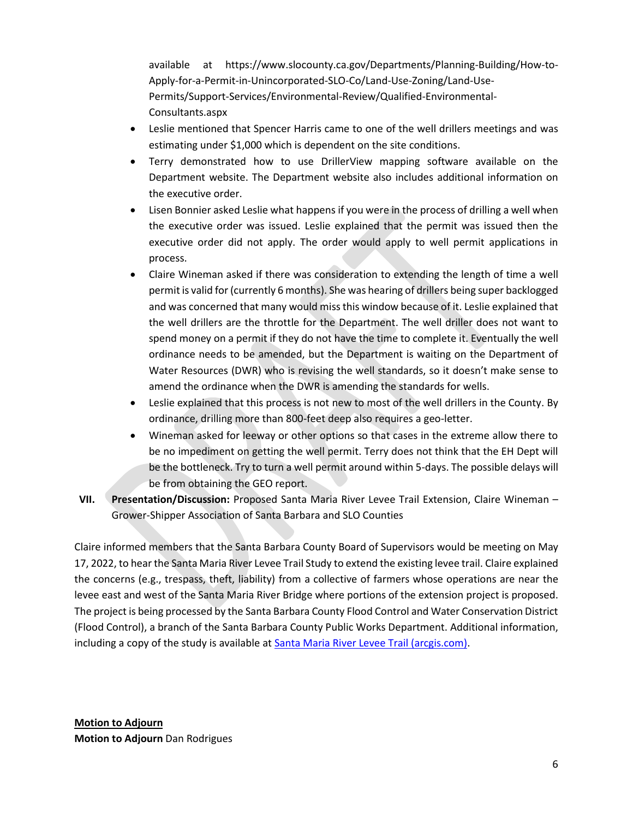available at https://www.slocounty.ca.gov/Departments/Planning-Building/How-to-Apply-for-a-Permit-in-Unincorporated-SLO-Co/Land-Use-Zoning/Land-Use-Permits/Support-Services/Environmental-Review/Qualified-Environmental-Consultants.aspx

- Leslie mentioned that Spencer Harris came to one of the well drillers meetings and was estimating under \$1,000 which is dependent on the site conditions.
- Terry demonstrated how to use DrillerView mapping software available on the Department website. The Department website also includes additional information on the executive order.
- Lisen Bonnier asked Leslie what happens if you were in the process of drilling a well when the executive order was issued. Leslie explained that the permit was issued then the executive order did not apply. The order would apply to well permit applications in process.
- Claire Wineman asked if there was consideration to extending the length of time a well permit is valid for (currently 6 months). She was hearing of drillers being super backlogged and was concerned that many would miss this window because of it. Leslie explained that the well drillers are the throttle for the Department. The well driller does not want to spend money on a permit if they do not have the time to complete it. Eventually the well ordinance needs to be amended, but the Department is waiting on the Department of Water Resources (DWR) who is revising the well standards, so it doesn't make sense to amend the ordinance when the DWR is amending the standards for wells.
- Leslie explained that this process is not new to most of the well drillers in the County. By ordinance, drilling more than 800-feet deep also requires a geo-letter.
- Wineman asked for leeway or other options so that cases in the extreme allow there to be no impediment on getting the well permit. Terry does not think that the EH Dept will be the bottleneck. Try to turn a well permit around within 5-days. The possible delays will be from obtaining the GEO report.
- **VII. Presentation/Discussion:** Proposed Santa Maria River Levee Trail Extension, Claire Wineman Grower-Shipper Association of Santa Barbara and SLO Counties

Claire informed members that the Santa Barbara County Board of Supervisors would be meeting on May 17, 2022, to hear the Santa Maria River Levee Trail Study to extend the existing levee trail. Claire explained the concerns (e.g., trespass, theft, liability) from a collective of farmers whose operations are near the levee east and west of the Santa Maria River Bridge where portions of the extension project is proposed. The project is being processed by the Santa Barbara County Flood Control and Water Conservation District (Flood Control), a branch of the Santa Barbara County Public Works Department. Additional information, including a copy of the study is available at **Santa Maria River Levee Trail (arcgis.com)**.

**Motion to Adjourn Motion to Adjourn** Dan Rodrigues